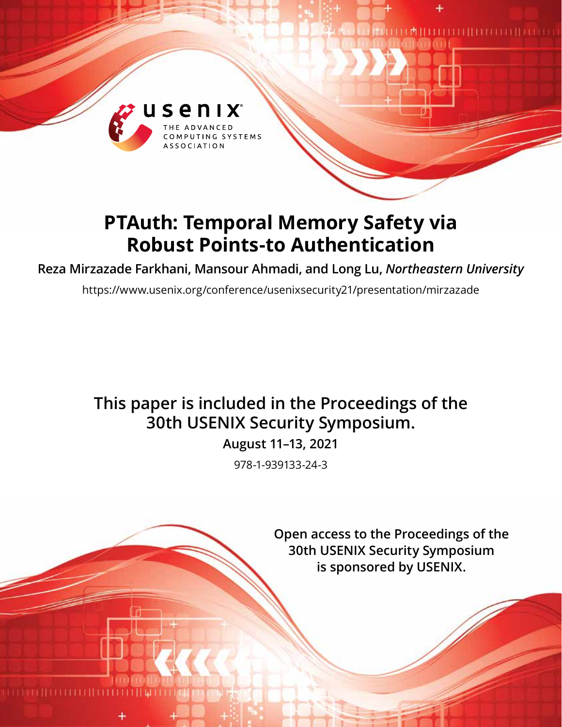

# **PTAuth: Temporal Memory Safety via Robust Points-to Authentication**

**Reza Mirzazade Farkhani, Mansour Ahmadi, and Long Lu,** *Northeastern University*

https://www.usenix.org/conference/usenixsecurity21/presentation/mirzazade

## **This paper is included in the Proceedings of the 30th USENIX Security Symposium.**

**August 11–13, 2021**

978-1-939133-24-3

**Open access to the Proceedings of the 30th USENIX Security Symposium is sponsored by USENIX.**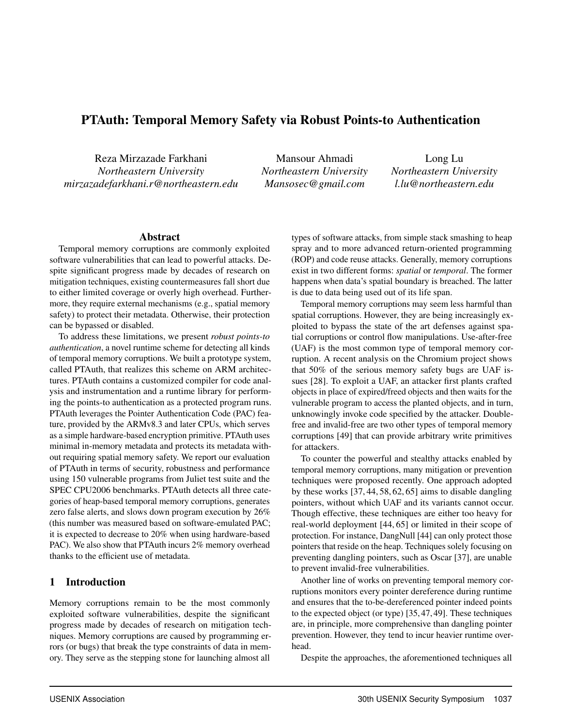## PTAuth: Temporal Memory Safety via Robust Points-to Authentication

Reza Mirzazade Farkhani *Northeastern University mirzazadefarkhani.r@northeastern.edu*

Mansour Ahmadi *Northeastern University Mansosec@gmail.com*

Long Lu *Northeastern University l.lu@northeastern.edu*

#### Abstract

Temporal memory corruptions are commonly exploited software vulnerabilities that can lead to powerful attacks. Despite significant progress made by decades of research on mitigation techniques, existing countermeasures fall short due to either limited coverage or overly high overhead. Furthermore, they require external mechanisms (e.g., spatial memory safety) to protect their metadata. Otherwise, their protection can be bypassed or disabled.

To address these limitations, we present *robust points-to authentication*, a novel runtime scheme for detecting all kinds of temporal memory corruptions. We built a prototype system, called PTAuth, that realizes this scheme on ARM architectures. PTAuth contains a customized compiler for code analysis and instrumentation and a runtime library for performing the points-to authentication as a protected program runs. PTAuth leverages the Pointer Authentication Code (PAC) feature, provided by the ARMv8.3 and later CPUs, which serves as a simple hardware-based encryption primitive. PTAuth uses minimal in-memory metadata and protects its metadata without requiring spatial memory safety. We report our evaluation of PTAuth in terms of security, robustness and performance using 150 vulnerable programs from Juliet test suite and the SPEC CPU2006 benchmarks. PTAuth detects all three categories of heap-based temporal memory corruptions, generates zero false alerts, and slows down program execution by 26% (this number was measured based on software-emulated PAC; it is expected to decrease to 20% when using hardware-based PAC). We also show that PTAuth incurs 2% memory overhead thanks to the efficient use of metadata.

#### 1 Introduction

Memory corruptions remain to be the most commonly exploited software vulnerabilities, despite the significant progress made by decades of research on mitigation techniques. Memory corruptions are caused by programming errors (or bugs) that break the type constraints of data in memory. They serve as the stepping stone for launching almost all

types of software attacks, from simple stack smashing to heap spray and to more advanced return-oriented programming (ROP) and code reuse attacks. Generally, memory corruptions exist in two different forms: *spatial* or *temporal*. The former happens when data's spatial boundary is breached. The latter is due to data being used out of its life span.

Temporal memory corruptions may seem less harmful than spatial corruptions. However, they are being increasingly exploited to bypass the state of the art defenses against spatial corruptions or control flow manipulations. Use-after-free (UAF) is the most common type of temporal memory corruption. A recent analysis on the Chromium project shows that 50% of the serious memory safety bugs are UAF issues [28]. To exploit a UAF, an attacker first plants crafted objects in place of expired/freed objects and then waits for the vulnerable program to access the planted objects, and in turn, unknowingly invoke code specified by the attacker. Doublefree and invalid-free are two other types of temporal memory corruptions [49] that can provide arbitrary write primitives for attackers.

To counter the powerful and stealthy attacks enabled by temporal memory corruptions, many mitigation or prevention techniques were proposed recently. One approach adopted by these works [37, 44, 58, 62, 65] aims to disable dangling pointers, without which UAF and its variants cannot occur. Though effective, these techniques are either too heavy for real-world deployment [44, 65] or limited in their scope of protection. For instance, DangNull [44] can only protect those pointers that reside on the heap. Techniques solely focusing on preventing dangling pointers, such as Oscar [37], are unable to prevent invalid-free vulnerabilities.

Another line of works on preventing temporal memory corruptions monitors every pointer dereference during runtime and ensures that the to-be-dereferenced pointer indeed points to the expected object (or type) [35, 47, 49]. These techniques are, in principle, more comprehensive than dangling pointer prevention. However, they tend to incur heavier runtime overhead.

Despite the approaches, the aforementioned techniques all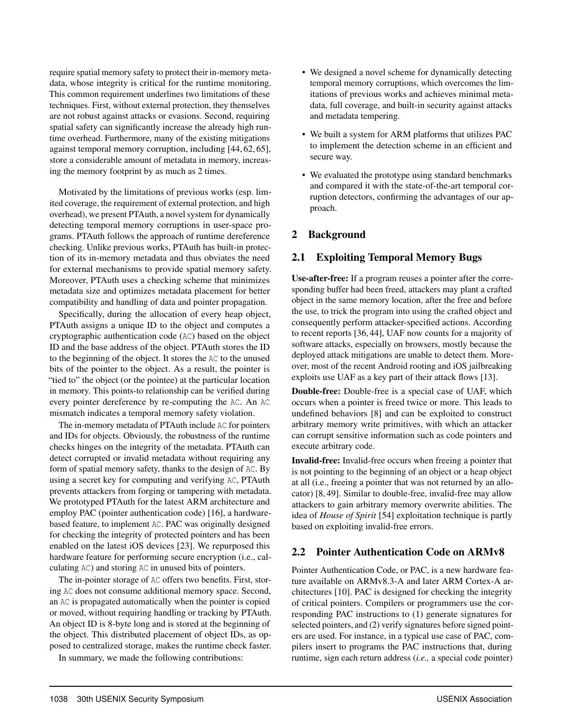require spatial memory safety to protect their in-memory metadata, whose integrity is critical for the runtime monitoring. This common requirement underlines two limitations of these techniques. First, without external protection, they themselves are not robust against attacks or evasions. Second, requiring spatial safety can significantly increase the already high runtime overhead. Furthermore, many of the existing mitigations against temporal memory corruption, including [44, 62, 65], store a considerable amount of metadata in memory, increasing the memory footprint by as much as 2 times.

Motivated by the limitations of previous works (esp. limited coverage, the requirement of external protection, and high overhead), we present PTAuth, a novel system for dynamically detecting temporal memory corruptions in user-space programs. PTAuth follows the approach of runtime dereference checking. Unlike previous works, PTAuth has built-in protection of its in-memory metadata and thus obviates the need for external mechanisms to provide spatial memory safety. Moreover, PTAuth uses a checking scheme that minimizes metadata size and optimizes metadata placement for better compatibility and handling of data and pointer propagation.

Specifically, during the allocation of every heap object, PTAuth assigns a unique ID to the object and computes a cryptographic authentication code (AC) based on the object ID and the base address of the object. PTAuth stores the ID to the beginning of the object. It stores the AC to the unused bits of the pointer to the object. As a result, the pointer is "tied to" the object (or the pointee) at the particular location in memory. This points-to relationship can be verified during every pointer dereference by re-computing the AC. An AC mismatch indicates a temporal memory safety violation.

The in-memory metadata of PTAuth include AC for pointers and IDs for objects. Obviously, the robustness of the runtime checks hinges on the integrity of the metadata. PTAuth can detect corrupted or invalid metadata without requiring any form of spatial memory safety, thanks to the design of AC. By using a secret key for computing and verifying AC, PTAuth prevents attackers from forging or tampering with metadata. We prototyped PTAuth for the latest ARM architecture and employ PAC (pointer authentication code) [16], a hardwarebased feature, to implement AC. PAC was originally designed for checking the integrity of protected pointers and has been enabled on the latest iOS devices [23]. We repurposed this hardware feature for performing secure encryption (i.e., calculating AC) and storing AC in unused bits of pointers.

The in-pointer storage of AC offers two benefits. First, storing AC does not consume additional memory space. Second, an AC is propagated automatically when the pointer is copied or moved, without requiring handling or tracking by PTAuth. An object ID is 8-byte long and is stored at the beginning of the object. This distributed placement of object IDs, as opposed to centralized storage, makes the runtime check faster.

In summary, we made the following contributions:

- We designed a novel scheme for dynamically detecting temporal memory corruptions, which overcomes the limitations of previous works and achieves minimal metadata, full coverage, and built-in security against attacks and metadata tempering.
- We built a system for ARM platforms that utilizes PAC to implement the detection scheme in an efficient and secure way.
- We evaluated the prototype using standard benchmarks and compared it with the state-of-the-art temporal corruption detectors, confirming the advantages of our approach.

## 2 Background

#### 2.1 Exploiting Temporal Memory Bugs

Use-after-free: If a program reuses a pointer after the corresponding buffer had been freed, attackers may plant a crafted object in the same memory location, after the free and before the use, to trick the program into using the crafted object and consequently perform attacker-specified actions. According to recent reports [36, 44], UAF now counts for a majority of software attacks, especially on browsers, mostly because the deployed attack mitigations are unable to detect them. Moreover, most of the recent Android rooting and iOS jailbreaking exploits use UAF as a key part of their attack flows [13].

Double-free: Double-free is a special case of UAF, which occurs when a pointer is freed twice or more. This leads to undefined behaviors [8] and can be exploited to construct arbitrary memory write primitives, with which an attacker can corrupt sensitive information such as code pointers and execute arbitrary code.

Invalid-free: Invalid-free occurs when freeing a pointer that is not pointing to the beginning of an object or a heap object at all (i.e., freeing a pointer that was not returned by an allocator) [8, 49]. Similar to double-free, invalid-free may allow attackers to gain arbitrary memory overwrite abilities. The idea of *House of Spirit* [54] exploitation technique is partly based on exploiting invalid-free errors.

#### 2.2 Pointer Authentication Code on ARMv8

Pointer Authentication Code, or PAC, is a new hardware feature available on ARMv8.3-A and later ARM Cortex-A architectures [10]. PAC is designed for checking the integrity of critical pointers. Compilers or programmers use the corresponding PAC instructions to (1) generate signatures for selected pointers, and (2) verify signatures before signed pointers are used. For instance, in a typical use case of PAC, compilers insert to programs the PAC instructions that, during runtime, sign each return address (*i.e.,* a special code pointer)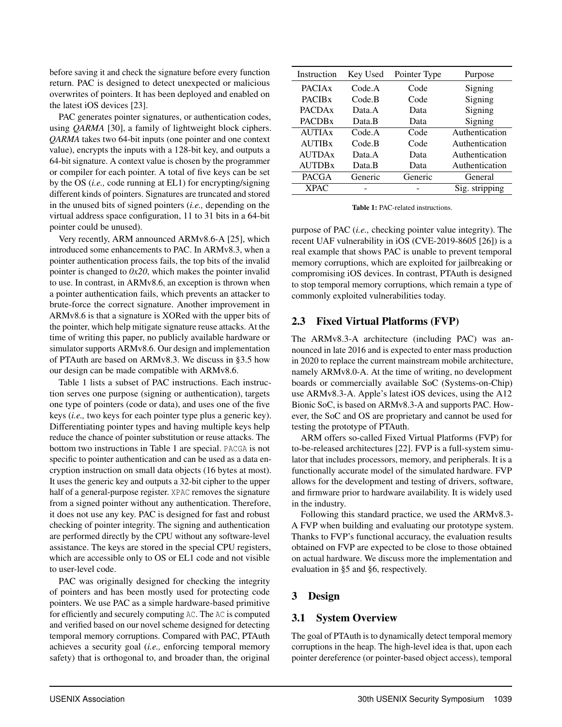before saving it and check the signature before every function return. PAC is designed to detect unexpected or malicious overwrites of pointers. It has been deployed and enabled on the latest iOS devices [23].

PAC generates pointer signatures, or authentication codes, using *QARMA* [30], a family of lightweight block ciphers. *QARMA* takes two 64-bit inputs (one pointer and one context value), encrypts the inputs with a 128-bit key, and outputs a 64-bit signature. A context value is chosen by the programmer or compiler for each pointer. A total of five keys can be set by the OS (*i.e.,* code running at EL1) for encrypting/signing different kinds of pointers. Signatures are truncated and stored in the unused bits of signed pointers (*i.e.,* depending on the virtual address space configuration, 11 to 31 bits in a 64-bit pointer could be unused).

Very recently, ARM announced ARMv8.6-A [25], which introduced some enhancements to PAC. In ARMv8.3, when a pointer authentication process fails, the top bits of the invalid pointer is changed to *0x20*, which makes the pointer invalid to use. In contrast, in ARMv8.6, an exception is thrown when a pointer authentication fails, which prevents an attacker to brute-force the correct signature. Another improvement in ARMv8.6 is that a signature is XORed with the upper bits of the pointer, which help mitigate signature reuse attacks. At the time of writing this paper, no publicly available hardware or simulator supports ARMv8.6. Our design and implementation of PTAuth are based on ARMv8.3. We discuss in §3.5 how our design can be made compatible with ARMv8.6.

Table 1 lists a subset of PAC instructions. Each instruction serves one purpose (signing or authentication), targets one type of pointers (code or data), and uses one of the five keys (*i.e.,* two keys for each pointer type plus a generic key). Differentiating pointer types and having multiple keys help reduce the chance of pointer substitution or reuse attacks. The bottom two instructions in Table 1 are special. PACGA is not specific to pointer authentication and can be used as a data encryption instruction on small data objects (16 bytes at most). It uses the generic key and outputs a 32-bit cipher to the upper half of a general-purpose register. XPAC removes the signature from a signed pointer without any authentication. Therefore, it does not use any key. PAC is designed for fast and robust checking of pointer integrity. The signing and authentication are performed directly by the CPU without any software-level assistance. The keys are stored in the special CPU registers, which are accessible only to OS or EL1 code and not visible to user-level code.

PAC was originally designed for checking the integrity of pointers and has been mostly used for protecting code pointers. We use PAC as a simple hardware-based primitive for efficiently and securely computing AC. The AC is computed and verified based on our novel scheme designed for detecting temporal memory corruptions. Compared with PAC, PTAuth achieves a security goal (*i.e.,* enforcing temporal memory safety) that is orthogonal to, and broader than, the original

| Instruction               | Key Used   | Pointer Type | Purpose        |
|---------------------------|------------|--------------|----------------|
| <b>PACIA<sub>x</sub></b>  | Code A     | Code         | Signing        |
| <b>PACIB<sub>x</sub></b>  | $Code$ $B$ | Code         | Signing        |
| <b>PACDA<sub>x</sub></b>  | Data.A     | Data         | Signing        |
| <b>PACDBx</b>             | Data B     | Data         | Signing        |
| <b>AUTIAx</b>             | Code A     | Code         | Authentication |
| <b>AUTIB</b> <sub>x</sub> | Code B     | Code         | Authentication |
| <b>AUTDAx</b>             | Data.A     | Data         | Authentication |
| <b>AUTDBx</b>             | Data.B     | Data         | Authentication |
| <b>PACGA</b>              | Generic    | Generic      | General        |
| <b>XPAC</b>               |            |              | Sig. stripping |

Table 1: PAC-related instructions.

purpose of PAC (*i.e.,* checking pointer value integrity). The recent UAF vulnerability in iOS (CVE-2019-8605 [26]) is a real example that shows PAC is unable to prevent temporal memory corruptions, which are exploited for jailbreaking or compromising iOS devices. In contrast, PTAuth is designed to stop temporal memory corruptions, which remain a type of commonly exploited vulnerabilities today.

## 2.3 Fixed Virtual Platforms (FVP)

The ARMv8.3-A architecture (including PAC) was announced in late 2016 and is expected to enter mass production in 2020 to replace the current mainstream mobile architecture, namely ARMv8.0-A. At the time of writing, no development boards or commercially available SoC (Systems-on-Chip) use ARMv8.3-A. Apple's latest iOS devices, using the A12 Bionic SoC, is based on ARMv8.3-A and supports PAC. However, the SoC and OS are proprietary and cannot be used for testing the prototype of PTAuth.

ARM offers so-called Fixed Virtual Platforms (FVP) for to-be-released architectures [22]. FVP is a full-system simulator that includes processors, memory, and peripherals. It is a functionally accurate model of the simulated hardware. FVP allows for the development and testing of drivers, software, and firmware prior to hardware availability. It is widely used in the industry.

Following this standard practice, we used the ARMv8.3- A FVP when building and evaluating our prototype system. Thanks to FVP's functional accuracy, the evaluation results obtained on FVP are expected to be close to those obtained on actual hardware. We discuss more the implementation and evaluation in §5 and §6, respectively.

## 3 Design

#### 3.1 System Overview

The goal of PTAuth is to dynamically detect temporal memory corruptions in the heap. The high-level idea is that, upon each pointer dereference (or pointer-based object access), temporal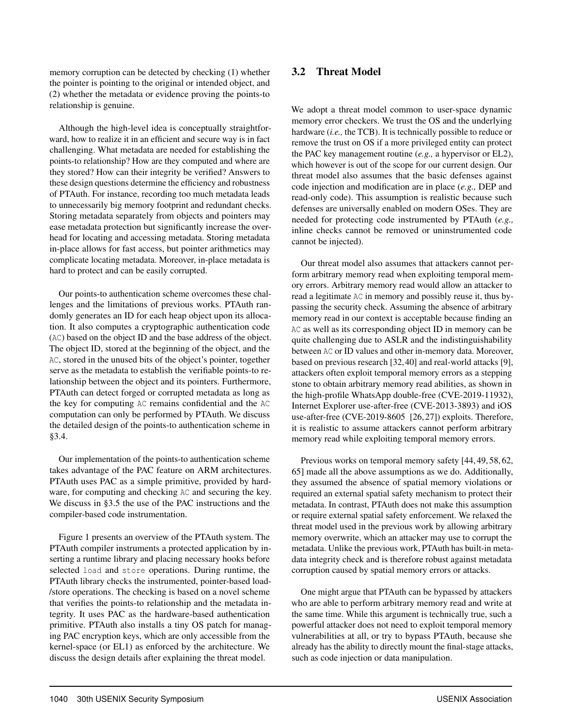memory corruption can be detected by checking (1) whether the pointer is pointing to the original or intended object, and (2) whether the metadata or evidence proving the points-to relationship is genuine.

Although the high-level idea is conceptually straightforward, how to realize it in an efficient and secure way is in fact challenging. What metadata are needed for establishing the points-to relationship? How are they computed and where are they stored? How can their integrity be verified? Answers to these design questions determine the efficiency and robustness of PTAuth. For instance, recording too much metadata leads to unnecessarily big memory footprint and redundant checks. Storing metadata separately from objects and pointers may ease metadata protection but significantly increase the overhead for locating and accessing metadata. Storing metadata in-place allows for fast access, but pointer arithmetics may complicate locating metadata. Moreover, in-place metadata is hard to protect and can be easily corrupted.

Our points-to authentication scheme overcomes these challenges and the limitations of previous works. PTAuth randomly generates an ID for each heap object upon its allocation. It also computes a cryptographic authentication code (AC) based on the object ID and the base address of the object. The object ID, stored at the beginning of the object, and the AC, stored in the unused bits of the object's pointer, together serve as the metadata to establish the verifiable points-to relationship between the object and its pointers. Furthermore, PTAuth can detect forged or corrupted metadata as long as the key for computing AC remains confidential and the AC computation can only be performed by PTAuth. We discuss the detailed design of the points-to authentication scheme in §3.4.

Our implementation of the points-to authentication scheme takes advantage of the PAC feature on ARM architectures. PTAuth uses PAC as a simple primitive, provided by hardware, for computing and checking AC and securing the key. We discuss in §3.5 the use of the PAC instructions and the compiler-based code instrumentation.

Figure 1 presents an overview of the PTAuth system. The PTAuth compiler instruments a protected application by inserting a runtime library and placing necessary hooks before selected load and store operations. During runtime, the PTAuth library checks the instrumented, pointer-based load- /store operations. The checking is based on a novel scheme that verifies the points-to relationship and the metadata integrity. It uses PAC as the hardware-based authentication primitive. PTAuth also installs a tiny OS patch for managing PAC encryption keys, which are only accessible from the kernel-space (or EL1) as enforced by the architecture. We discuss the design details after explaining the threat model.

## 3.2 Threat Model

We adopt a threat model common to user-space dynamic memory error checkers. We trust the OS and the underlying hardware (*i.e.,* the TCB). It is technically possible to reduce or remove the trust on OS if a more privileged entity can protect the PAC key management routine (*e.g.,* a hypervisor or EL2), which however is out of the scope for our current design. Our threat model also assumes that the basic defenses against code injection and modification are in place (*e.g.,* DEP and read-only code). This assumption is realistic because such defenses are universally enabled on modern OSes. They are needed for protecting code instrumented by PTAuth (*e.g.,* inline checks cannot be removed or uninstrumented code cannot be injected).

Our threat model also assumes that attackers cannot perform arbitrary memory read when exploiting temporal memory errors. Arbitrary memory read would allow an attacker to read a legitimate AC in memory and possibly reuse it, thus bypassing the security check. Assuming the absence of arbitrary memory read in our context is acceptable because finding an AC as well as its corresponding object ID in memory can be quite challenging due to ASLR and the indistinguishability between AC or ID values and other in-memory data. Moreover, based on previous research [32, 40] and real-world attacks [9], attackers often exploit temporal memory errors as a stepping stone to obtain arbitrary memory read abilities, as shown in the high-profile WhatsApp double-free (CVE-2019-11932), Internet Explorer use-after-free (CVE-2013-3893) and iOS use-after-free (CVE-2019-8605 [26, 27]) exploits. Therefore, it is realistic to assume attackers cannot perform arbitrary memory read while exploiting temporal memory errors.

Previous works on temporal memory safety [44, 49, 58, 62, 65] made all the above assumptions as we do. Additionally, they assumed the absence of spatial memory violations or required an external spatial safety mechanism to protect their metadata. In contrast, PTAuth does not make this assumption or require external spatial safety enforcement. We relaxed the threat model used in the previous work by allowing arbitrary memory overwrite, which an attacker may use to corrupt the metadata. Unlike the previous work, PTAuth has built-in metadata integrity check and is therefore robust against metadata corruption caused by spatial memory errors or attacks.

One might argue that PTAuth can be bypassed by attackers who are able to perform arbitrary memory read and write at the same time. While this argument is technically true, such a powerful attacker does not need to exploit temporal memory vulnerabilities at all, or try to bypass PTAuth, because she already has the ability to directly mount the final-stage attacks, such as code injection or data manipulation.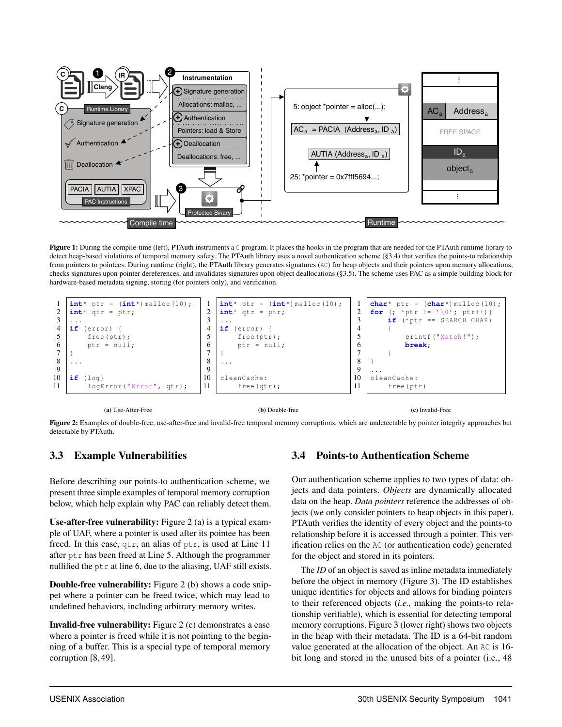

Figure 1: During the compile-time (left), PTAuth instruments a C program. It places the hooks in the program that are needed for the PTAuth runtime library to detect heap-based violations of temporal memory safety. The PTAuth library uses a novel authentication scheme (§3.4) that verifies the points-to relationship from pointers to pointees. During runtime (right), the PTAuth library generates signatures (AC) for heap objects and their pointers upon memory allocations, checks signatures upon pointer dereferences, and invalidates signatures upon object deallocations (§3.5). The scheme uses PAC as a simple building block for hardware-based metadata signing, storing (for pointers only), and verification.



(a) Use-After-Free

(b) Double-free

(c) Invalid-Free

Figure 2: Examples of double-free, use-after-free and invalid-free temporal memory corruptions, which are undetectable by pointer integrity approaches but detectable by PTAuth.

## 3.3 Example Vulnerabilities

Before describing our points-to authentication scheme, we present three simple examples of temporal memory corruption below, which help explain why PAC can reliably detect them.

Use-after-free vulnerability: Figure 2 (a) is a typical example of UAF, where a pointer is used after its pointee has been freed. In this case, qtr, an alias of ptr, is used at Line 11 after ptr has been freed at Line 5. Although the programmer nullified the  $ptr$  at line 6, due to the aliasing, UAF still exists.

Double-free vulnerability: Figure 2 (b) shows a code snippet where a pointer can be freed twice, which may lead to undefined behaviors, including arbitrary memory writes.

Invalid-free vulnerability: Figure 2 (c) demonstrates a case where a pointer is freed while it is not pointing to the beginning of a buffer. This is a special type of temporal memory corruption [8, 49].

## 3.4 Points-to Authentication Scheme

Our authentication scheme applies to two types of data: objects and data pointers. *Objects* are dynamically allocated data on the heap. *Data pointers* reference the addresses of objects (we only consider pointers to heap objects in this paper). PTAuth verifies the identity of every object and the points-to relationship before it is accessed through a pointer. This verification relies on the AC (or authentication code) generated for the object and stored in its pointers.

The *ID* of an object is saved as inline metadata immediately before the object in memory (Figure 3). The ID establishes unique identities for objects and allows for binding pointers to their referenced objects (*i.e.,* making the points-to relationship verifiable), which is essential for detecting temporal memory corruptions. Figure 3 (lower right) shows two objects in the heap with their metadata. The ID is a 64-bit random value generated at the allocation of the object. An AC is 16 bit long and stored in the unused bits of a pointer (i.e., 48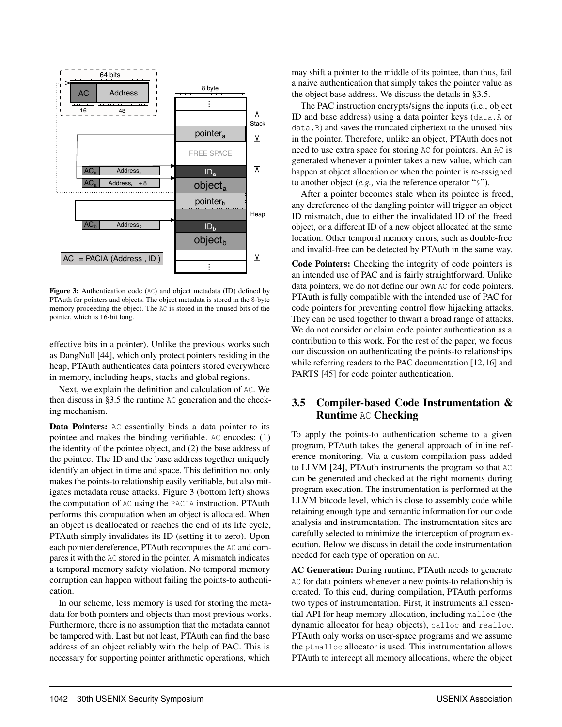

Figure 3: Authentication code (AC) and object metadata (ID) defined by PTAuth for pointers and objects. The object metadata is stored in the 8-byte memory proceeding the object. The AC is stored in the unused bits of the pointer, which is 16-bit long.

effective bits in a pointer). Unlike the previous works such as DangNull [44], which only protect pointers residing in the heap, PTAuth authenticates data pointers stored everywhere in memory, including heaps, stacks and global regions.

Next, we explain the definition and calculation of AC. We then discuss in §3.5 the runtime AC generation and the checking mechanism.

Data Pointers: AC essentially binds a data pointer to its pointee and makes the binding verifiable. AC encodes: (1) the identity of the pointee object, and (2) the base address of the pointee. The ID and the base address together uniquely identify an object in time and space. This definition not only makes the points-to relationship easily verifiable, but also mitigates metadata reuse attacks. Figure 3 (bottom left) shows the computation of AC using the PACIA instruction. PTAuth performs this computation when an object is allocated. When an object is deallocated or reaches the end of its life cycle, PTAuth simply invalidates its ID (setting it to zero). Upon each pointer dereference, PTAuth recomputes the AC and compares it with the AC stored in the pointer. A mismatch indicates a temporal memory safety violation. No temporal memory corruption can happen without failing the points-to authentication.

In our scheme, less memory is used for storing the metadata for both pointers and objects than most previous works. Furthermore, there is no assumption that the metadata cannot be tampered with. Last but not least, PTAuth can find the base address of an object reliably with the help of PAC. This is necessary for supporting pointer arithmetic operations, which

may shift a pointer to the middle of its pointee, than thus, fail a naive authentication that simply takes the pointer value as the object base address. We discuss the details in §3.5.

The PAC instruction encrypts/signs the inputs (i.e., object ID and base address) using a data pointer keys (data.A or data.B) and saves the truncated ciphertext to the unused bits in the pointer. Therefore, unlike an object, PTAuth does not need to use extra space for storing AC for pointers. An AC is generated whenever a pointer takes a new value, which can happen at object allocation or when the pointer is re-assigned to another object (*e.g.,* via the reference operator "&").

After a pointer becomes stale when its pointee is freed, any dereference of the dangling pointer will trigger an object ID mismatch, due to either the invalidated ID of the freed object, or a different ID of a new object allocated at the same location. Other temporal memory errors, such as double-free and invalid-free can be detected by PTAuth in the same way.

Code Pointers: Checking the integrity of code pointers is an intended use of PAC and is fairly straightforward. Unlike data pointers, we do not define our own AC for code pointers. PTAuth is fully compatible with the intended use of PAC for code pointers for preventing control flow hijacking attacks. They can be used together to thwart a broad range of attacks. We do not consider or claim code pointer authentication as a contribution to this work. For the rest of the paper, we focus our discussion on authenticating the points-to relationships while referring readers to the PAC documentation [12,16] and PARTS [45] for code pointer authentication.

#### 3.5 Compiler-based Code Instrumentation & Runtime AC Checking

To apply the points-to authentication scheme to a given program, PTAuth takes the general approach of inline reference monitoring. Via a custom compilation pass added to LLVM [24], PTAuth instruments the program so that AC can be generated and checked at the right moments during program execution. The instrumentation is performed at the LLVM bitcode level, which is close to assembly code while retaining enough type and semantic information for our code analysis and instrumentation. The instrumentation sites are carefully selected to minimize the interception of program execution. Below we discuss in detail the code instrumentation needed for each type of operation on AC.

AC Generation: During runtime, PTAuth needs to generate AC for data pointers whenever a new points-to relationship is created. To this end, during compilation, PTAuth performs two types of instrumentation. First, it instruments all essential API for heap memory allocation, including malloc (the dynamic allocator for heap objects), calloc and realloc. PTAuth only works on user-space programs and we assume the ptmalloc allocator is used. This instrumentation allows PTAuth to intercept all memory allocations, where the object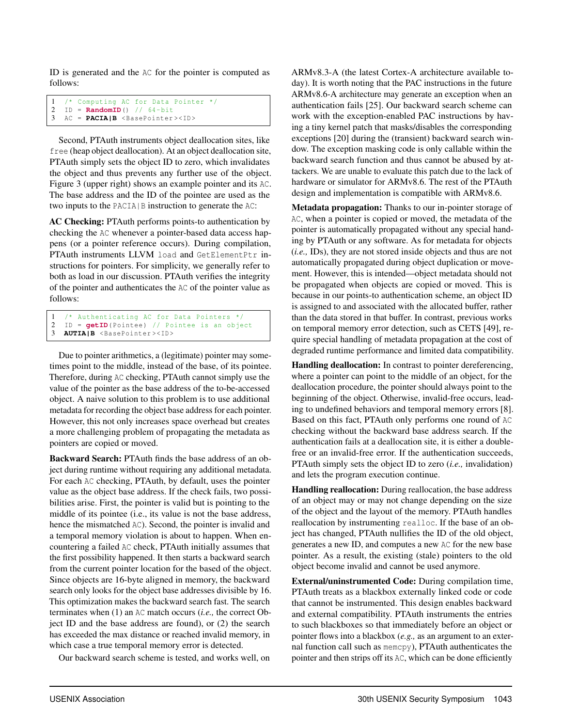ID is generated and the AC for the pointer is computed as follows:

```
1 /* Computing AC for Data Pointer */<br>2 ID = RandomID() // 64-bit.
   ID = RandomID() // 64-bit3 AC = PACIA|B <BasePointer ><ID>
```
Second, PTAuth instruments object deallocation sites, like free (heap object deallocation). At an object deallocation site, PTAuth simply sets the object ID to zero, which invalidates the object and thus prevents any further use of the object. Figure 3 (upper right) shows an example pointer and its AC. The base address and the ID of the pointee are used as the two inputs to the PACIA|B instruction to generate the AC:

AC Checking: PTAuth performs points-to authentication by checking the AC whenever a pointer-based data access happens (or a pointer reference occurs). During compilation, PTAuth instruments LLVM load and GetElementPtr instructions for pointers. For simplicity, we generally refer to both as load in our discussion. PTAuth verifies the integrity of the pointer and authenticates the AC of the pointer value as follows:

```
1 /* Authenticating AC for Data Pointers */
2 ID = getID(Pointee) // Pointee is an object<br>3 AUTIAIB <BasePointer><ID>
   3 AUTIA|B <BasePointer ><ID>
```
Due to pointer arithmetics, a (legitimate) pointer may sometimes point to the middle, instead of the base, of its pointee. Therefore, during AC checking, PTAuth cannot simply use the value of the pointer as the base address of the to-be-accessed object. A naive solution to this problem is to use additional metadata for recording the object base address for each pointer. However, this not only increases space overhead but creates a more challenging problem of propagating the metadata as pointers are copied or moved.

Backward Search: PTAuth finds the base address of an object during runtime without requiring any additional metadata. For each AC checking, PTAuth, by default, uses the pointer value as the object base address. If the check fails, two possibilities arise. First, the pointer is valid but is pointing to the middle of its pointee (i.e., its value is not the base address, hence the mismatched AC). Second, the pointer is invalid and a temporal memory violation is about to happen. When encountering a failed AC check, PTAuth initially assumes that the first possibility happened. It then starts a backward search from the current pointer location for the based of the object. Since objects are 16-byte aligned in memory, the backward search only looks for the object base addresses divisible by 16. This optimization makes the backward search fast. The search terminates when (1) an AC match occurs (*i.e.,* the correct Object ID and the base address are found), or (2) the search has exceeded the max distance or reached invalid memory, in which case a true temporal memory error is detected.

Our backward search scheme is tested, and works well, on

ARMv8.3-A (the latest Cortex-A architecture available today). It is worth noting that the PAC instructions in the future ARMv8.6-A architecture may generate an exception when an authentication fails [25]. Our backward search scheme can work with the exception-enabled PAC instructions by having a tiny kernel patch that masks/disables the corresponding exceptions [20] during the (transient) backward search window. The exception masking code is only callable within the backward search function and thus cannot be abused by attackers. We are unable to evaluate this patch due to the lack of hardware or simulator for ARMv8.6. The rest of the PTAuth design and implementation is compatible with ARMv8.6.

Metadata propagation: Thanks to our in-pointer storage of AC, when a pointer is copied or moved, the metadata of the pointer is automatically propagated without any special handing by PTAuth or any software. As for metadata for objects (*i.e.,* IDs), they are not stored inside objects and thus are not automatically propagated during object duplication or movement. However, this is intended—object metadata should not be propagated when objects are copied or moved. This is because in our points-to authentication scheme, an object ID is assigned to and associated with the allocated buffer, rather than the data stored in that buffer. In contrast, previous works on temporal memory error detection, such as CETS [49], require special handling of metadata propagation at the cost of degraded runtime performance and limited data compatibility.

Handling deallocation: In contrast to pointer dereferencing, where a pointer can point to the middle of an object, for the deallocation procedure, the pointer should always point to the beginning of the object. Otherwise, invalid-free occurs, leading to undefined behaviors and temporal memory errors [8]. Based on this fact, PTAuth only performs one round of AC checking without the backward base address search. If the authentication fails at a deallocation site, it is either a doublefree or an invalid-free error. If the authentication succeeds, PTAuth simply sets the object ID to zero (*i.e.,* invalidation) and lets the program execution continue.

Handling reallocation: During reallocation, the base address of an object may or may not change depending on the size of the object and the layout of the memory. PTAuth handles reallocation by instrumenting realloc. If the base of an object has changed, PTAuth nullifies the ID of the old object, generates a new ID, and computes a new AC for the new base pointer. As a result, the existing (stale) pointers to the old object become invalid and cannot be used anymore.

External/uninstrumented Code: During compilation time, PTAuth treats as a blackbox externally linked code or code that cannot be instrumented. This design enables backward and external compatibility. PTAuth instruments the entries to such blackboxes so that immediately before an object or pointer flows into a blackbox (*e.g.,* as an argument to an external function call such as memcpy), PTAuth authenticates the pointer and then strips off its AC, which can be done efficiently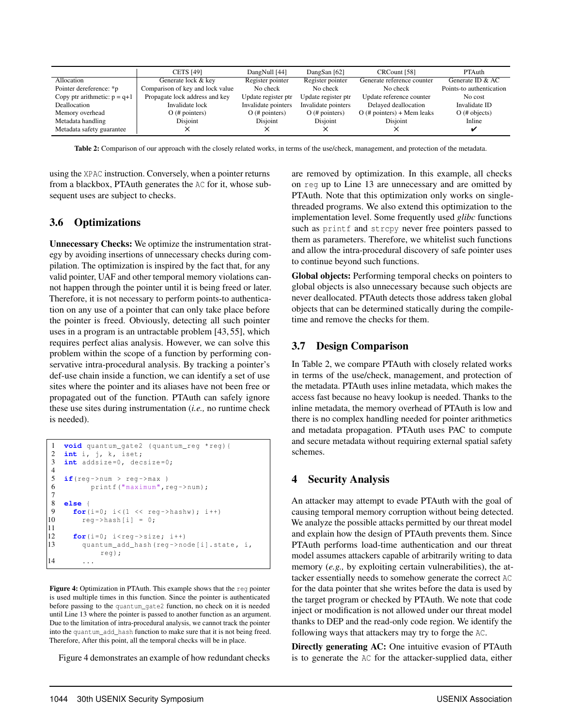|                                | <b>CETS [49]</b>                 | DangNull [44]       | DangSan [62]        | CRCount [58]                 | <b>PTAuth</b>            |
|--------------------------------|----------------------------------|---------------------|---------------------|------------------------------|--------------------------|
| Allocation                     | Generate lock & key              | Register pointer    | Register pointer    | Generate reference counter   | Generate ID $&AC$        |
| Pointer dereference: *p        | Comparison of key and lock value | No check            | No check            | No check                     | Points-to authentication |
| Copy ptr arithmetic: $p = q+1$ | Propagate lock address and key   | Update register ptr | Update register ptr | Update reference counter     | No cost                  |
| Deallocation                   | Invalidate lock                  | Invalidate pointers | Invalidate pointers | Delayed deallocation         | Invalidate ID            |
| Memory overhead                | $O$ (# pointers)                 | $O$ (# pointers)    | $O$ (# pointers)    | $O$ (# pointers) + Mem leaks | $O$ (# objects)          |
| Metadata handling              | Disjoint                         | Disjoint            | Disjoint            | Disjoint                     | Inline                   |
| Metadata safety guarantee      |                                  |                     |                     |                              |                          |

Table 2: Comparison of our approach with the closely related works, in terms of the use/check, management, and protection of the metadata.

using the XPAC instruction. Conversely, when a pointer returns from a blackbox, PTAuth generates the AC for it, whose subsequent uses are subject to checks.

#### 3.6 Optimizations

Unnecessary Checks: We optimize the instrumentation strategy by avoiding insertions of unnecessary checks during compilation. The optimization is inspired by the fact that, for any valid pointer, UAF and other temporal memory violations cannot happen through the pointer until it is being freed or later. Therefore, it is not necessary to perform points-to authentication on any use of a pointer that can only take place before the pointer is freed. Obviously, detecting all such pointer uses in a program is an untractable problem [43, 55], which requires perfect alias analysis. However, we can solve this problem within the scope of a function by performing conservative intra-procedural analysis. By tracking a pointer's def-use chain inside a function, we can identify a set of use sites where the pointer and its aliases have not been free or propagated out of the function. PTAuth can safely ignore these use sites during instrumentation (*i.e.,* no runtime check is needed).

```
1 void quantum_gate2 (quantum_reg *reg){
 2 int i, j, k, iset;
 3 int addsize=0, decsize=0;
 4
 5 if(reg->num > reg->max)<br>6 printf("maximum".r
                     printf("maximum",reg->num);
 7
 8 else {
9 for(i=0; i<(1 << reg->hashw); i++)<br>10 \leftarrow \leftarrow \leftarrow \leftarrow \leftarrow \leftarrow \leftarrow \leftarrow \leftarrow \leftarrow \leftarrow \leftarrow \leftarrow \leftarrow \leftarrow \leftarrow \leftarrow \leftarrow \leftarrow \leftarrow \leftarrow \leftarrow \leftarrow \leftarrow \leftarrow \leftarrow \leftarrow \leftarrow \leftarrow \leftarrow\text{reg}-\text{hash}[i] = 0;\frac{11}{12}for(i=0; i <reg->size; i++)
13 quantum_add_hash(reg->node[i].state , i,
                          reg);
14
```
Figure 4: Optimization in PTAuth. This example shows that the reg pointer is used multiple times in this function. Since the pointer is authenticated before passing to the quantum\_gate2 function, no check on it is needed until Line 13 where the pointer is passed to another function as an argument. Due to the limitation of intra-procedural analysis, we cannot track the pointer into the quantum\_add\_hash function to make sure that it is not being freed. Therefore, After this point, all the temporal checks will be in place.

Figure 4 demonstrates an example of how redundant checks

are removed by optimization. In this example, all checks on reg up to Line 13 are unnecessary and are omitted by PTAuth. Note that this optimization only works on singlethreaded programs. We also extend this optimization to the implementation level. Some frequently used *glibc* functions such as printf and strcpy never free pointers passed to them as parameters. Therefore, we whitelist such functions and allow the intra-procedural discovery of safe pointer uses to continue beyond such functions.

Global objects: Performing temporal checks on pointers to global objects is also unnecessary because such objects are never deallocated. PTAuth detects those address taken global objects that can be determined statically during the compiletime and remove the checks for them.

#### 3.7 Design Comparison

In Table 2, we compare PTAuth with closely related works in terms of the use/check, management, and protection of the metadata. PTAuth uses inline metadata, which makes the access fast because no heavy lookup is needed. Thanks to the inline metadata, the memory overhead of PTAuth is low and there is no complex handling needed for pointer arithmetics and metadata propagation. PTAuth uses PAC to compute and secure metadata without requiring external spatial safety schemes.

#### 4 Security Analysis

An attacker may attempt to evade PTAuth with the goal of causing temporal memory corruption without being detected. We analyze the possible attacks permitted by our threat model and explain how the design of PTAuth prevents them. Since PTAuth performs load-time authentication and our threat model assumes attackers capable of arbitrarily writing to data memory (*e.g.*, by exploiting certain vulnerabilities), the attacker essentially needs to somehow generate the correct AC for the data pointer that she writes before the data is used by the target program or checked by PTAuth. We note that code inject or modification is not allowed under our threat model thanks to DEP and the read-only code region. We identify the following ways that attackers may try to forge the AC.

Directly generating AC: One intuitive evasion of PTAuth is to generate the AC for the attacker-supplied data, either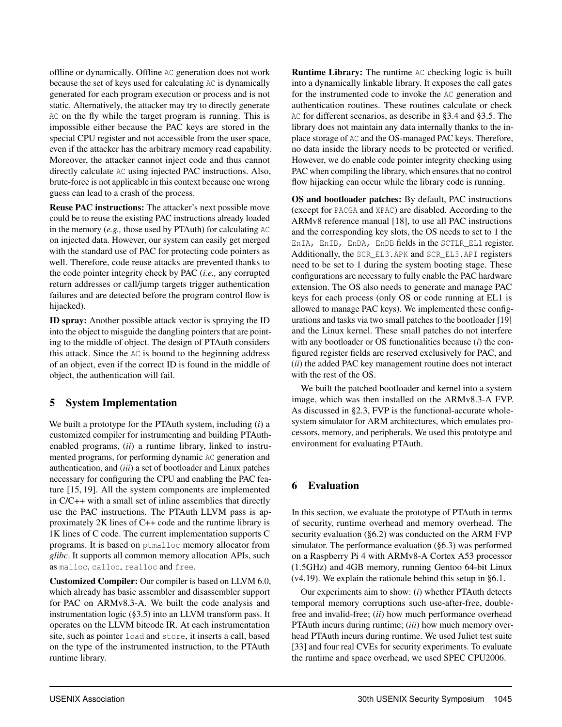offline or dynamically. Offline AC generation does not work because the set of keys used for calculating AC is dynamically generated for each program execution or process and is not static. Alternatively, the attacker may try to directly generate AC on the fly while the target program is running. This is impossible either because the PAC keys are stored in the special CPU register and not accessible from the user space, even if the attacker has the arbitrary memory read capability. Moreover, the attacker cannot inject code and thus cannot directly calculate AC using injected PAC instructions. Also, brute-force is not applicable in this context because one wrong guess can lead to a crash of the process.

Reuse PAC instructions: The attacker's next possible move could be to reuse the existing PAC instructions already loaded in the memory (*e.g.,* those used by PTAuth) for calculating AC on injected data. However, our system can easily get merged with the standard use of PAC for protecting code pointers as well. Therefore, code reuse attacks are prevented thanks to the code pointer integrity check by PAC (*i.e.,* any corrupted return addresses or call/jump targets trigger authentication failures and are detected before the program control flow is hijacked).

ID spray: Another possible attack vector is spraying the ID into the object to misguide the dangling pointers that are pointing to the middle of object. The design of PTAuth considers this attack. Since the AC is bound to the beginning address of an object, even if the correct ID is found in the middle of object, the authentication will fail.

#### 5 System Implementation

We built a prototype for the PTAuth system, including (*i*) a customized compiler for instrumenting and building PTAuthenabled programs, (*ii*) a runtime library, linked to instrumented programs, for performing dynamic AC generation and authentication, and (*iii*) a set of bootloader and Linux patches necessary for configuring the CPU and enabling the PAC feature [15, 19]. All the system components are implemented in C/C++ with a small set of inline assemblies that directly use the PAC instructions. The PTAuth LLVM pass is approximately 2K lines of C++ code and the runtime library is 1K lines of C code. The current implementation supports C programs. It is based on ptmalloc memory allocator from *glibc*. It supports all common memory allocation APIs, such as malloc, calloc, realloc and free.

Customized Compiler: Our compiler is based on LLVM 6.0, which already has basic assembler and disassembler support for PAC on ARMv8.3-A. We built the code analysis and instrumentation logic (§3.5) into an LLVM transform pass. It operates on the LLVM bitcode IR. At each instrumentation site, such as pointer load and store, it inserts a call, based on the type of the instrumented instruction, to the PTAuth runtime library.

Runtime Library: The runtime AC checking logic is built into a dynamically linkable library. It exposes the call gates for the instrumented code to invoke the AC generation and authentication routines. These routines calculate or check AC for different scenarios, as describe in §3.4 and §3.5. The library does not maintain any data internally thanks to the inplace storage of AC and the OS-managed PAC keys. Therefore, no data inside the library needs to be protected or verified. However, we do enable code pointer integrity checking using PAC when compiling the library, which ensures that no control flow hijacking can occur while the library code is running.

OS and bootloader patches: By default, PAC instructions (except for PACGA and XPAC) are disabled. According to the ARMv8 reference manual [18], to use all PAC instructions and the corresponding key slots, the OS needs to set to 1 the EnIA, EnIB, EnDA, EnDB fields in the SCTLR\_EL1 register. Additionally, the SCR\_EL3.APK and SCR\_EL3.API registers need to be set to 1 during the system booting stage. These configurations are necessary to fully enable the PAC hardware extension. The OS also needs to generate and manage PAC keys for each process (only OS or code running at EL1 is allowed to manage PAC keys). We implemented these configurations and tasks via two small patches to the bootloader [19] and the Linux kernel. These small patches do not interfere with any bootloader or OS functionalities because (*i*) the configured register fields are reserved exclusively for PAC, and (*ii*) the added PAC key management routine does not interact with the rest of the OS.

We built the patched bootloader and kernel into a system image, which was then installed on the ARMv8.3-A FVP. As discussed in §2.3, FVP is the functional-accurate wholesystem simulator for ARM architectures, which emulates processors, memory, and peripherals. We used this prototype and environment for evaluating PTAuth.

## 6 Evaluation

In this section, we evaluate the prototype of PTAuth in terms of security, runtime overhead and memory overhead. The security evaluation (§6.2) was conducted on the ARM FVP simulator. The performance evaluation (§6.3) was performed on a Raspberry Pi 4 with ARMv8-A Cortex A53 processor (1.5GHz) and 4GB memory, running Gentoo 64-bit Linux (v4.19). We explain the rationale behind this setup in §6.1.

Our experiments aim to show: (*i*) whether PTAuth detects temporal memory corruptions such use-after-free, doublefree and invalid-free; (*ii*) how much performance overhead PTAuth incurs during runtime; (*iii*) how much memory overhead PTAuth incurs during runtime. We used Juliet test suite [33] and four real CVEs for security experiments. To evaluate the runtime and space overhead, we used SPEC CPU2006.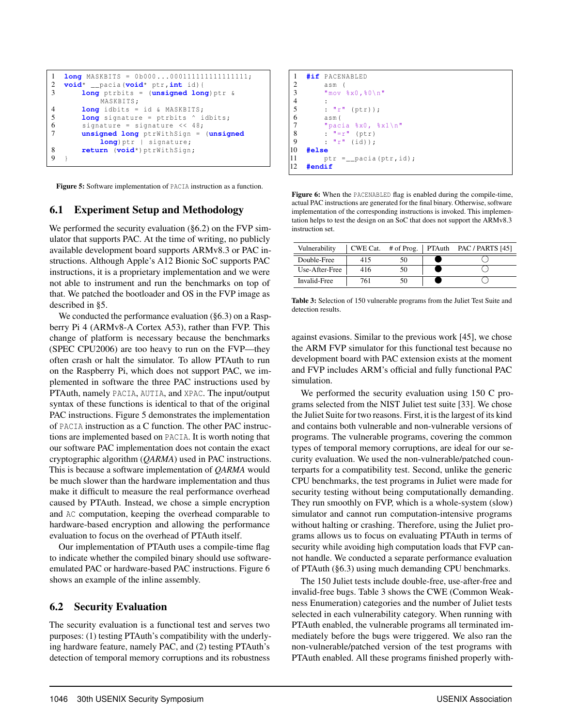```
1 long MASKBITS = 0b000...000111111111111111111;<br>2 void* pacia(void* ptr.int id){
2 void* __pacia(void* ptr,int id){
        3 long ptrbits = (unsigned long)ptr &
             MASKBITS;
4 long idbits = id & MASKBITS;
5 long signature = ptrbits \hat{ } idbits;<br>6 signature = signature << 48;
        signature = signature << 48;
7 unsigned long ptrWithSign = (unsigned
             long) ptr | signature;
8 return (void*)ptrWithSign;
9 }
```
Figure 5: Software implementation of PACIA instruction as a function.

## 6.1 Experiment Setup and Methodology

We performed the security evaluation (§6.2) on the FVP simulator that supports PAC. At the time of writing, no publicly available development board supports ARMv8.3 or PAC instructions. Although Apple's A12 Bionic SoC supports PAC instructions, it is a proprietary implementation and we were not able to instrument and run the benchmarks on top of that. We patched the bootloader and OS in the FVP image as described in §5.

We conducted the performance evaluation (§6.3) on a Raspberry Pi 4 (ARMv8-A Cortex A53), rather than FVP. This change of platform is necessary because the benchmarks (SPEC CPU2006) are too heavy to run on the FVP—they often crash or halt the simulator. To allow PTAuth to run on the Raspberry Pi, which does not support PAC, we implemented in software the three PAC instructions used by PTAuth, namely PACIA, AUTIA, and XPAC. The input/output syntax of these functions is identical to that of the original PAC instructions. Figure 5 demonstrates the implementation of PACIA instruction as a C function. The other PAC instructions are implemented based on PACIA. It is worth noting that our software PAC implementation does not contain the exact cryptographic algorithm (*QARMA*) used in PAC instructions. This is because a software implementation of *QARMA* would be much slower than the hardware implementation and thus make it difficult to measure the real performance overhead caused by PTAuth. Instead, we chose a simple encryption and AC computation, keeping the overhead comparable to hardware-based encryption and allowing the performance evaluation to focus on the overhead of PTAuth itself.

Our implementation of PTAuth uses a compile-time flag to indicate whether the compiled binary should use softwareemulated PAC or hardware-based PAC instructions. Figure 6 shows an example of the inline assembly.

## 6.2 Security Evaluation

The security evaluation is a functional test and serves two purposes: (1) testing PTAuth's compatibility with the underlying hardware feature, namely PAC, and (2) testing PTAuth's detection of temporal memory corruptions and its robustness



Figure 6: When the PACENABLED flag is enabled during the compile-time, actual PAC instructions are generated for the final binary. Otherwise, software implementation of the corresponding instructions is invoked. This implementation helps to test the design on an SoC that does not support the ARMv8.3 instruction set.

| Vulnerability  |     | $CWE Cat.$ # of Prog. | PTAuth PAC / PARTS [45] |
|----------------|-----|-----------------------|-------------------------|
| Double-Free    | 115 |                       |                         |
| Use-After-Free | 416 |                       |                         |
| Invalid-Free   | 761 |                       |                         |

Table 3: Selection of 150 vulnerable programs from the Juliet Test Suite and detection results.

against evasions. Similar to the previous work [45], we chose the ARM FVP simulator for this functional test because no development board with PAC extension exists at the moment and FVP includes ARM's official and fully functional PAC simulation.

We performed the security evaluation using 150 C programs selected from the NIST Juliet test suite [33]. We chose the Juliet Suite for two reasons. First, it is the largest of its kind and contains both vulnerable and non-vulnerable versions of programs. The vulnerable programs, covering the common types of temporal memory corruptions, are ideal for our security evaluation. We used the non-vulnerable/patched counterparts for a compatibility test. Second, unlike the generic CPU benchmarks, the test programs in Juliet were made for security testing without being computationally demanding. They run smoothly on FVP, which is a whole-system (slow) simulator and cannot run computation-intensive programs without halting or crashing. Therefore, using the Juliet programs allows us to focus on evaluating PTAuth in terms of security while avoiding high computation loads that FVP cannot handle. We conducted a separate performance evaluation of PTAuth (§6.3) using much demanding CPU benchmarks.

The 150 Juliet tests include double-free, use-after-free and invalid-free bugs. Table 3 shows the CWE (Common Weakness Enumeration) categories and the number of Juliet tests selected in each vulnerability category. When running with PTAuth enabled, the vulnerable programs all terminated immediately before the bugs were triggered. We also ran the non-vulnerable/patched version of the test programs with PTAuth enabled. All these programs finished properly with-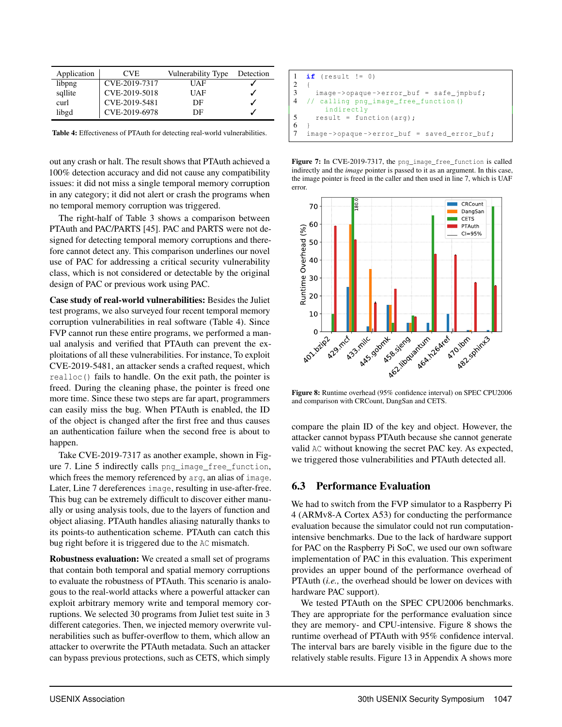| Application | CVE.          | Vulnerability Type | Detection |
|-------------|---------------|--------------------|-----------|
| libpng      | CVE-2019-7317 | UAF                |           |
| sqllite     | CVE-2019-5018 | UAF                |           |
| curl        | CVE-2019-5481 | DE                 |           |
| libgd       | CVE-2019-6978 | DE                 |           |

Table 4: Effectiveness of PTAuth for detecting real-world vulnerabilities.

out any crash or halt. The result shows that PTAuth achieved a 100% detection accuracy and did not cause any compatibility issues: it did not miss a single temporal memory corruption in any category; it did not alert or crash the programs when no temporal memory corruption was triggered.

The right-half of Table 3 shows a comparison between PTAuth and PAC/PARTS [45]. PAC and PARTS were not designed for detecting temporal memory corruptions and therefore cannot detect any. This comparison underlines our novel use of PAC for addressing a critical security vulnerability class, which is not considered or detectable by the original design of PAC or previous work using PAC.

Case study of real-world vulnerabilities: Besides the Juliet test programs, we also surveyed four recent temporal memory corruption vulnerabilities in real software (Table 4). Since FVP cannot run these entire programs, we performed a manual analysis and verified that PTAuth can prevent the exploitations of all these vulnerabilities. For instance, To exploit CVE-2019-5481, an attacker sends a crafted request, which realloc() fails to handle. On the exit path, the pointer is freed. During the cleaning phase, the pointer is freed one more time. Since these two steps are far apart, programmers can easily miss the bug. When PTAuth is enabled, the ID of the object is changed after the first free and thus causes an authentication failure when the second free is about to happen.

Take CVE-2019-7317 as another example, shown in Figure 7. Line 5 indirectly calls png\_image\_free\_function, which frees the memory referenced by  $arg$ , an alias of image. Later, Line 7 dereferences image, resulting in use-after-free. This bug can be extremely difficult to discover either manually or using analysis tools, due to the layers of function and object aliasing. PTAuth handles aliasing naturally thanks to its points-to authentication scheme. PTAuth can catch this bug right before it is triggered due to the AC mismatch.

Robustness evaluation: We created a small set of programs that contain both temporal and spatial memory corruptions to evaluate the robustness of PTAuth. This scenario is analogous to the real-world attacks where a powerful attacker can exploit arbitrary memory write and temporal memory corruptions. We selected 30 programs from Juliet test suite in 3 different categories. Then, we injected memory overwrite vulnerabilities such as buffer-overflow to them, which allow an attacker to overwrite the PTAuth metadata. Such an attacker can bypass previous protections, such as CETS, which simply

```
1 \text{ if} (result != 0)
\begin{matrix}2\\3\end{matrix}image -> opaque ->error_buf = safe\_impbuf;4 // calling png_image_free_function ()
         indirectly
5 result = function (arg);
6 }
7 image ->opaque ->error_buf = saved_error_buf;
```




Figure 8: Runtime overhead (95% confidence interval) on SPEC CPU2006 and comparison with CRCount, DangSan and CETS.

compare the plain ID of the key and object. However, the attacker cannot bypass PTAuth because she cannot generate valid AC without knowing the secret PAC key. As expected, we triggered those vulnerabilities and PTAuth detected all.

#### 6.3 Performance Evaluation

We had to switch from the FVP simulator to a Raspberry Pi 4 (ARMv8-A Cortex A53) for conducting the performance evaluation because the simulator could not run computationintensive benchmarks. Due to the lack of hardware support for PAC on the Raspberry Pi SoC, we used our own software implementation of PAC in this evaluation. This experiment provides an upper bound of the performance overhead of PTAuth (*i.e.,* the overhead should be lower on devices with hardware PAC support).

We tested PTAuth on the SPEC CPU2006 benchmarks. They are appropriate for the performance evaluation since they are memory- and CPU-intensive. Figure 8 shows the runtime overhead of PTAuth with 95% confidence interval. The interval bars are barely visible in the figure due to the relatively stable results. Figure 13 in Appendix A shows more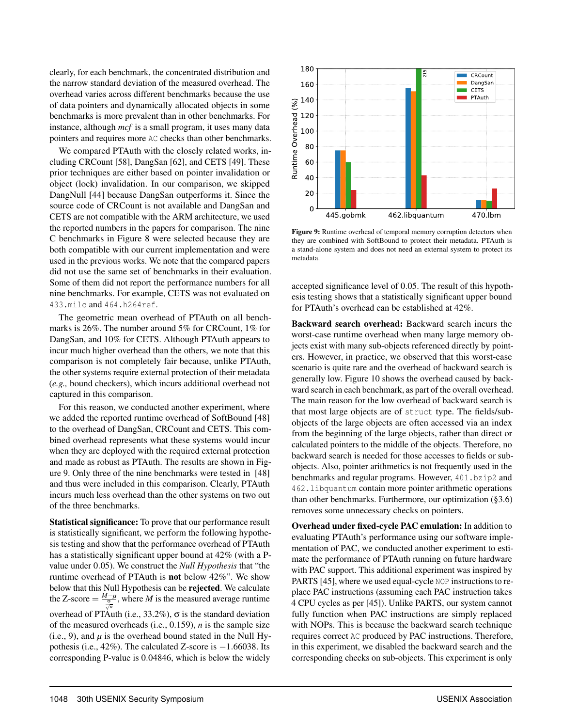clearly, for each benchmark, the concentrated distribution and the narrow standard deviation of the measured overhead. The overhead varies across different benchmarks because the use of data pointers and dynamically allocated objects in some benchmarks is more prevalent than in other benchmarks. For instance, although *mcf* is a small program, it uses many data pointers and requires more AC checks than other benchmarks.

We compared PTAuth with the closely related works, including CRCount [58], DangSan [62], and CETS [49]. These prior techniques are either based on pointer invalidation or object (lock) invalidation. In our comparison, we skipped DangNull [44] because DangSan outperforms it. Since the source code of CRCount is not available and DangSan and CETS are not compatible with the ARM architecture, we used the reported numbers in the papers for comparison. The nine C benchmarks in Figure 8 were selected because they are both compatible with our current implementation and were used in the previous works. We note that the compared papers did not use the same set of benchmarks in their evaluation. Some of them did not report the performance numbers for all nine benchmarks. For example, CETS was not evaluated on 433.milc and 464.h264ref.

The geometric mean overhead of PTAuth on all benchmarks is 26%. The number around 5% for CRCount, 1% for DangSan, and 10% for CETS. Although PTAuth appears to incur much higher overhead than the others, we note that this comparison is not completely fair because, unlike PTAuth, the other systems require external protection of their metadata (*e.g.,* bound checkers), which incurs additional overhead not captured in this comparison.

For this reason, we conducted another experiment, where we added the reported runtime overhead of SoftBound [48] to the overhead of DangSan, CRCount and CETS. This combined overhead represents what these systems would incur when they are deployed with the required external protection and made as robust as PTAuth. The results are shown in Figure 9. Only three of the nine benchmarks were tested in [48] and thus were included in this comparison. Clearly, PTAuth incurs much less overhead than the other systems on two out of the three benchmarks.

Statistical significance: To prove that our performance result is statistically significant, we perform the following hypothesis testing and show that the performance overhead of PTAuth has a statistically significant upper bound at 42% (with a Pvalue under 0*.*05). We construct the *Null Hypothesis* that "the runtime overhead of PTAuth is not below 42%". We show below that this Null Hypothesis can be rejected. We calculate the Z-score  $=\frac{M-\mu}{g}$ , where *M* is the measured average runtime *n* overhead of PTAuth (i.e., 33.2%),  $\sigma$  is the standard deviation of the measured overheads (i.e., 0.159), *n* is the sample size (i.e., 9), and  $\mu$  is the overhead bound stated in the Null Hypothesis (i.e.,  $42\%$ ). The calculated Z-score is  $-1.66038$ . Its corresponding P-value is 0*.*04846, which is below the widely



Figure 9: Runtime overhead of temporal memory corruption detectors when they are combined with SoftBound to protect their metadata. PTAuth is a stand-alone system and does not need an external system to protect its metadata.

accepted significance level of 0*.*05. The result of this hypothesis testing shows that a statistically significant upper bound for PTAuth's overhead can be established at 42%.

Backward search overhead: Backward search incurs the worst-case runtime overhead when many large memory objects exist with many sub-objects referenced directly by pointers. However, in practice, we observed that this worst-case scenario is quite rare and the overhead of backward search is generally low. Figure 10 shows the overhead caused by backward search in each benchmark, as part of the overall overhead. The main reason for the low overhead of backward search is that most large objects are of struct type. The fields/subobjects of the large objects are often accessed via an index from the beginning of the large objects, rather than direct or calculated pointers to the middle of the objects. Therefore, no backward search is needed for those accesses to fields or subobjects. Also, pointer arithmetics is not frequently used in the benchmarks and regular programs. However, 401.bzip2 and 462.libquantum contain more pointer arithmetic operations than other benchmarks. Furthermore, our optimization (§3.6) removes some unnecessary checks on pointers.

Overhead under fixed-cycle PAC emulation: In addition to evaluating PTAuth's performance using our software implementation of PAC, we conducted another experiment to estimate the performance of PTAuth running on future hardware with PAC support. This additional experiment was inspired by PARTS [45], where we used equal-cycle NOP instructions to replace PAC instructions (assuming each PAC instruction takes 4 CPU cycles as per [45]). Unlike PARTS, our system cannot fully function when PAC instructions are simply replaced with NOPs. This is because the backward search technique requires correct AC produced by PAC instructions. Therefore, in this experiment, we disabled the backward search and the corresponding checks on sub-objects. This experiment is only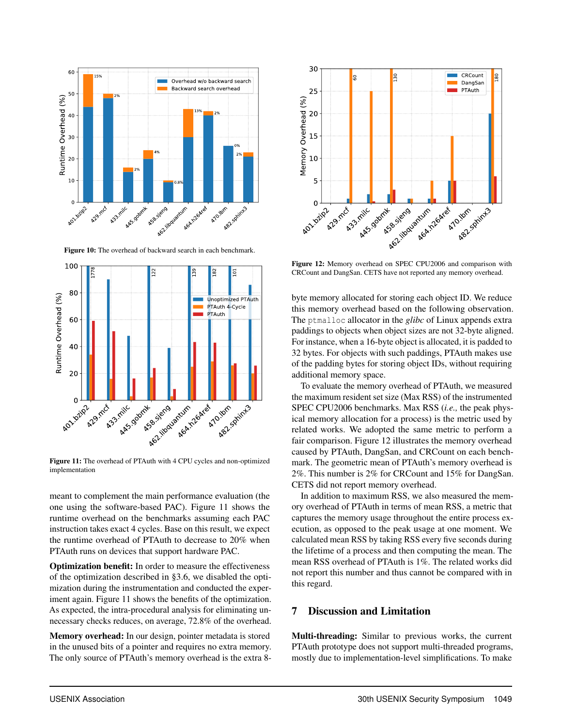

Figure 10: The overhead of backward search in each benchmark.



Figure 11: The overhead of PTAuth with 4 CPU cycles and non-optimized implementation

meant to complement the main performance evaluation (the one using the software-based PAC). Figure 11 shows the runtime overhead on the benchmarks assuming each PAC instruction takes exact 4 cycles. Base on this result, we expect the runtime overhead of PTAuth to decrease to 20% when PTAuth runs on devices that support hardware PAC.

Optimization benefit: In order to measure the effectiveness of the optimization described in §3.6, we disabled the optimization during the instrumentation and conducted the experiment again. Figure 11 shows the benefits of the optimization. As expected, the intra-procedural analysis for eliminating unnecessary checks reduces, on average, 72.8% of the overhead.

Memory overhead: In our design, pointer metadata is stored in the unused bits of a pointer and requires no extra memory. The only source of PTAuth's memory overhead is the extra 8-



Figure 12: Memory overhead on SPEC CPU2006 and comparison with CRCount and DangSan. CETS have not reported any memory overhead.

byte memory allocated for storing each object ID. We reduce this memory overhead based on the following observation. The ptmalloc allocator in the *glibc* of Linux appends extra paddings to objects when object sizes are not 32-byte aligned. For instance, when a 16-byte object is allocated, it is padded to 32 bytes. For objects with such paddings, PTAuth makes use of the padding bytes for storing object IDs, without requiring additional memory space.

To evaluate the memory overhead of PTAuth, we measured the maximum resident set size (Max RSS) of the instrumented SPEC CPU2006 benchmarks. Max RSS (*i.e.,* the peak physical memory allocation for a process) is the metric used by related works. We adopted the same metric to perform a fair comparison. Figure 12 illustrates the memory overhead caused by PTAuth, DangSan, and CRCount on each benchmark. The geometric mean of PTAuth's memory overhead is 2%. This number is 2% for CRCount and 15% for DangSan. CETS did not report memory overhead.

In addition to maximum RSS, we also measured the memory overhead of PTAuth in terms of mean RSS, a metric that captures the memory usage throughout the entire process execution, as opposed to the peak usage at one moment. We calculated mean RSS by taking RSS every five seconds during the lifetime of a process and then computing the mean. The mean RSS overhead of PTAuth is 1%. The related works did not report this number and thus cannot be compared with in this regard.

#### 7 Discussion and Limitation

Multi-threading: Similar to previous works, the current PTAuth prototype does not support multi-threaded programs, mostly due to implementation-level simplifications. To make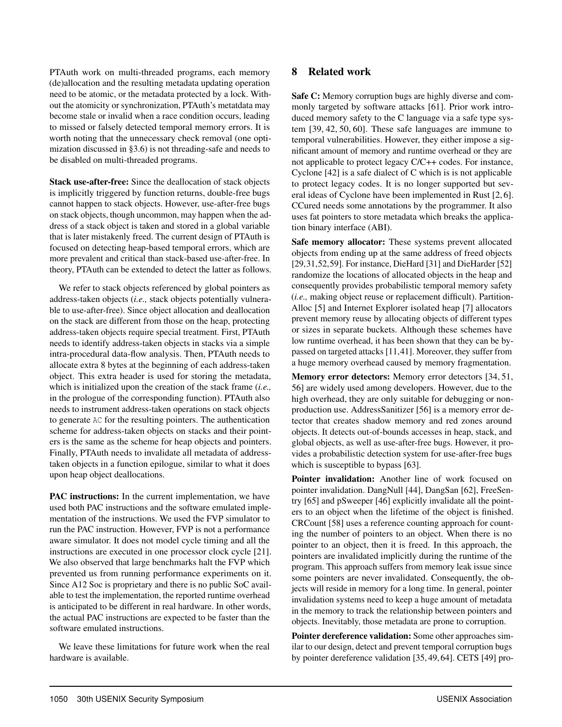PTAuth work on multi-threaded programs, each memory (de)allocation and the resulting metadata updating operation need to be atomic, or the metadata protected by a lock. Without the atomicity or synchronization, PTAuth's metatdata may become stale or invalid when a race condition occurs, leading to missed or falsely detected temporal memory errors. It is worth noting that the unnecessary check removal (one optimization discussed in §3.6) is not threading-safe and needs to be disabled on multi-threaded programs.

Stack use-after-free: Since the deallocation of stack objects is implicitly triggered by function returns, double-free bugs cannot happen to stack objects. However, use-after-free bugs on stack objects, though uncommon, may happen when the address of a stack object is taken and stored in a global variable that is later mistakenly freed. The current design of PTAuth is focused on detecting heap-based temporal errors, which are more prevalent and critical than stack-based use-after-free. In theory, PTAuth can be extended to detect the latter as follows.

We refer to stack objects referenced by global pointers as address-taken objects (*i.e.,* stack objects potentially vulnerable to use-after-free). Since object allocation and deallocation on the stack are different from those on the heap, protecting address-taken objects require special treatment. First, PTAuth needs to identify address-taken objects in stacks via a simple intra-procedural data-flow analysis. Then, PTAuth needs to allocate extra 8 bytes at the beginning of each address-taken object. This extra header is used for storing the metadata, which is initialized upon the creation of the stack frame (*i.e.,* in the prologue of the corresponding function). PTAuth also needs to instrument address-taken operations on stack objects to generate AC for the resulting pointers. The authentication scheme for address-taken objects on stacks and their pointers is the same as the scheme for heap objects and pointers. Finally, PTAuth needs to invalidate all metadata of addresstaken objects in a function epilogue, similar to what it does upon heap object deallocations.

PAC instructions: In the current implementation, we have used both PAC instructions and the software emulated implementation of the instructions. We used the FVP simulator to run the PAC instruction. However, FVP is not a performance aware simulator. It does not model cycle timing and all the instructions are executed in one processor clock cycle [21]. We also observed that large benchmarks halt the FVP which prevented us from running performance experiments on it. Since A12 Soc is proprietary and there is no public SoC available to test the implementation, the reported runtime overhead is anticipated to be different in real hardware. In other words, the actual PAC instructions are expected to be faster than the software emulated instructions.

We leave these limitations for future work when the real hardware is available.

#### 8 Related work

Safe C: Memory corruption bugs are highly diverse and commonly targeted by software attacks [61]. Prior work introduced memory safety to the C language via a safe type system [39, 42, 50, 60]. These safe languages are immune to temporal vulnerabilities. However, they either impose a significant amount of memory and runtime overhead or they are not applicable to protect legacy C/C++ codes. For instance, Cyclone [42] is a safe dialect of C which is is not applicable to protect legacy codes. It is no longer supported but several ideas of Cyclone have been implemented in Rust [2, 6]. CCured needs some annotations by the programmer. It also uses fat pointers to store metadata which breaks the application binary interface (ABI).

Safe memory allocator: These systems prevent allocated objects from ending up at the same address of freed objects [29,31,52,59]. For instance, DieHard [31] and DieHarder [52] randomize the locations of allocated objects in the heap and consequently provides probabilistic temporal memory safety (*i.e.,* making object reuse or replacement difficult). Partition-Alloc [5] and Internet Explorer isolated heap [7] allocators prevent memory reuse by allocating objects of different types or sizes in separate buckets. Although these schemes have low runtime overhead, it has been shown that they can be bypassed on targeted attacks [11,41]. Moreover, they suffer from a huge memory overhead caused by memory fragmentation.

Memory error detectors: Memory error detectors [34, 51, 56] are widely used among developers. However, due to the high overhead, they are only suitable for debugging or nonproduction use. AddressSanitizer [56] is a memory error detector that creates shadow memory and red zones around objects. It detects out-of-bounds accesses in heap, stack, and global objects, as well as use-after-free bugs. However, it provides a probabilistic detection system for use-after-free bugs which is susceptible to bypass [63].

Pointer invalidation: Another line of work focused on pointer invalidation. DangNull [44], DangSan [62], FreeSentry [65] and pSweeper [46] explicitly invalidate all the pointers to an object when the lifetime of the object is finished. CRCount [58] uses a reference counting approach for counting the number of pointers to an object. When there is no pointer to an object, then it is freed. In this approach, the pointers are invalidated implicitly during the runtime of the program. This approach suffers from memory leak issue since some pointers are never invalidated. Consequently, the objects will reside in memory for a long time. In general, pointer invalidation systems need to keep a huge amount of metadata in the memory to track the relationship between pointers and objects. Inevitably, those metadata are prone to corruption.

Pointer dereference validation: Some other approaches similar to our design, detect and prevent temporal corruption bugs by pointer dereference validation [35, 49, 64]. CETS [49] pro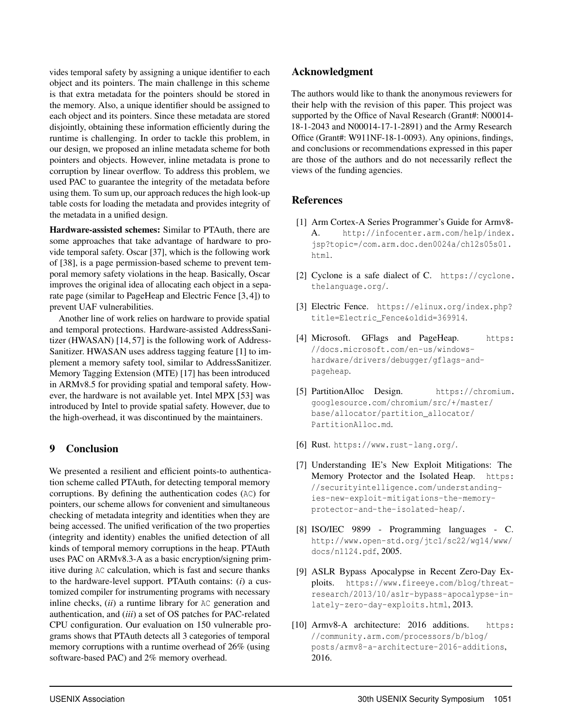vides temporal safety by assigning a unique identifier to each object and its pointers. The main challenge in this scheme is that extra metadata for the pointers should be stored in the memory. Also, a unique identifier should be assigned to each object and its pointers. Since these metadata are stored disjointly, obtaining these information efficiently during the runtime is challenging. In order to tackle this problem, in our design, we proposed an inline metadata scheme for both pointers and objects. However, inline metadata is prone to corruption by linear overflow. To address this problem, we used PAC to guarantee the integrity of the metadata before using them. To sum up, our approach reduces the high look-up table costs for loading the metadata and provides integrity of the metadata in a unified design.

Hardware-assisted schemes: Similar to PTAuth, there are some approaches that take advantage of hardware to provide temporal safety. Oscar [37], which is the following work of [38], is a page permission-based scheme to prevent temporal memory safety violations in the heap. Basically, Oscar improves the original idea of allocating each object in a separate page (similar to PageHeap and Electric Fence [3, 4]) to prevent UAF vulnerabilities.

Another line of work relies on hardware to provide spatial and temporal protections. Hardware-assisted AddressSanitizer (HWASAN) [14, 57] is the following work of Address-Sanitizer. HWASAN uses address tagging feature [1] to implement a memory safety tool, similar to AddressSanitizer. Memory Tagging Extension (MTE) [17] has been introduced in ARMv8.5 for providing spatial and temporal safety. However, the hardware is not available yet. Intel MPX [53] was introduced by Intel to provide spatial safety. However, due to the high-overhead, it was discontinued by the maintainers.

#### 9 Conclusion

We presented a resilient and efficient points-to authentication scheme called PTAuth, for detecting temporal memory corruptions. By defining the authentication codes (AC) for pointers, our scheme allows for convenient and simultaneous checking of metadata integrity and identities when they are being accessed. The unified verification of the two properties (integrity and identity) enables the unified detection of all kinds of temporal memory corruptions in the heap. PTAuth uses PAC on ARMv8.3-A as a basic encryption/signing primitive during AC calculation, which is fast and secure thanks to the hardware-level support. PTAuth contains: (*i*) a customized compiler for instrumenting programs with necessary inline checks, (*ii*) a runtime library for AC generation and authentication, and (*iii*) a set of OS patches for PAC-related CPU configuration. Our evaluation on 150 vulnerable programs shows that PTAuth detects all 3 categories of temporal memory corruptions with a runtime overhead of 26% (using software-based PAC) and 2% memory overhead.

#### Acknowledgment

The authors would like to thank the anonymous reviewers for their help with the revision of this paper. This project was supported by the Office of Naval Research (Grant#: N00014- 18-1-2043 and N00014-17-1-2891) and the Army Research Office (Grant#: W911NF-18-1-0093). Any opinions, findings, and conclusions or recommendations expressed in this paper are those of the authors and do not necessarily reflect the views of the funding agencies.

#### References

- [1] Arm Cortex-A Series Programmer's Guide for Armv8- A. http://infocenter.arm.com/help/index. jsp?topic=/com.arm.doc.den0024a/ch12s05s01. html.
- [2] Cyclone is a safe dialect of C. https://cyclone. thelanguage.org/.
- [3] Electric Fence. https://elinux.org/index.php? title=Electric\_Fence&oldid=369914.
- [4] Microsoft. GFlags and PageHeap. https: //docs.microsoft.com/en-us/windowshardware/drivers/debugger/gflags-andpageheap.
- [5] PartitionAlloc Design. https://chromium. googlesource.com/chromium/src/+/master/ base/allocator/partition\_allocator/ PartitionAlloc.md.
- [6] Rust. https://www.rust-lang.org/.
- [7] Understanding IE's New Exploit Mitigations: The Memory Protector and the Isolated Heap. https: //securityintelligence.com/understandingies-new-exploit-mitigations-the-memoryprotector-and-the-isolated-heap/.
- [8] ISO/IEC 9899 Programming languages C. http://www.open-std.org/jtc1/sc22/wg14/www/ docs/n1124.pdf, 2005.
- [9] ASLR Bypass Apocalypse in Recent Zero-Day Exploits. https://www.fireeye.com/blog/threatresearch/2013/10/aslr-bypass-apocalypse-inlately-zero-day-exploits.html, 2013.
- [10] Armv8-A architecture: 2016 additions. https: //community.arm.com/processors/b/blog/ posts/armv8-a-architecture-2016-additions, 2016.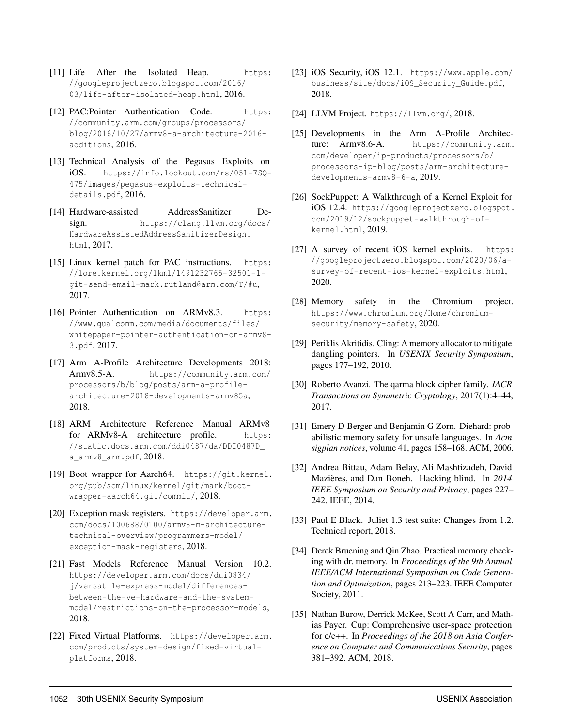- [11] Life After the Isolated Heap. https: //googleprojectzero.blogspot.com/2016/ 03/life-after-isolated-heap.html, 2016.
- [12] PAC: Pointer Authentication Code. https: //community.arm.com/groups/processors/ blog/2016/10/27/armv8-a-architecture-2016 additions, 2016.
- [13] Technical Analysis of the Pegasus Exploits on iOS. https://info.lookout.com/rs/051-ESQ-475/images/pegasus-exploits-technicaldetails.pdf, 2016.
- [14] Hardware-assisted AddressSanitizer Design. https://clang.llvm.org/docs/ HardwareAssistedAddressSanitizerDesign. html, 2017.
- [15] Linux kernel patch for PAC instructions. https: //lore.kernel.org/lkml/1491232765-32501-1 git-send-email-mark.rutland@arm.com/T/#u, 2017.
- [16] Pointer Authentication on ARMv8.3. https: //www.qualcomm.com/media/documents/files/ whitepaper-pointer-authentication-on-armv8- 3.pdf, 2017.
- [17] Arm A-Profile Architecture Developments 2018: Armv8.5-A. https://community.arm.com/ processors/b/blog/posts/arm-a-profilearchitecture-2018-developments-armv85a, 2018.
- [18] ARM Architecture Reference Manual ARMv8 for ARMv8-A architecture profile. https: //static.docs.arm.com/ddi0487/da/DDI0487D\_ a\_armv8\_arm.pdf, 2018.
- [19] Boot wrapper for Aarch64. https://git.kernel. org/pub/scm/linux/kernel/git/mark/bootwrapper-aarch64.git/commit/, 2018.
- [20] Exception mask registers. https://developer.arm. com/docs/100688/0100/armv8-m-architecturetechnical-overview/programmers-model/ exception-mask-registers, 2018.
- [21] Fast Models Reference Manual Version 10.2. https://developer.arm.com/docs/dui0834/ j/versatile-express-model/differencesbetween-the-ve-hardware-and-the-systemmodel/restrictions-on-the-processor-models, 2018.
- [22] Fixed Virtual Platforms. https://developer.arm. com/products/system-design/fixed-virtualplatforms, 2018.
- [23] iOS Security, iOS 12.1. https://www.apple.com/ business/site/docs/iOS\_Security\_Guide.pdf, 2018.
- [24] LLVM Project. https://llvm.org/, 2018.
- [25] Developments in the Arm A-Profile Architecture: Armv8.6-A. https://community.arm. com/developer/ip-products/processors/b/ processors-ip-blog/posts/arm-architecturedevelopments-armv8-6-a, 2019.
- [26] SockPuppet: A Walkthrough of a Kernel Exploit for iOS 12.4. https://googleprojectzero.blogspot. com/2019/12/sockpuppet-walkthrough-ofkernel.html, 2019.
- [27] A survey of recent iOS kernel exploits. https: //googleprojectzero.blogspot.com/2020/06/asurvey-of-recent-ios-kernel-exploits.html, 2020.
- [28] Memory safety in the Chromium project. https://www.chromium.org/Home/chromiumsecurity/memory-safety, 2020.
- [29] Periklis Akritidis. Cling: A memory allocator to mitigate dangling pointers. In *USENIX Security Symposium*, pages 177–192, 2010.
- [30] Roberto Avanzi. The qarma block cipher family. *IACR Transactions on Symmetric Cryptology*, 2017(1):4–44, 2017.
- [31] Emery D Berger and Benjamin G Zorn. Diehard: probabilistic memory safety for unsafe languages. In *Acm sigplan notices*, volume 41, pages 158–168. ACM, 2006.
- [32] Andrea Bittau, Adam Belay, Ali Mashtizadeh, David Mazières, and Dan Boneh. Hacking blind. In *2014 IEEE Symposium on Security and Privacy*, pages 227– 242. IEEE, 2014.
- [33] Paul E Black. Juliet 1.3 test suite: Changes from 1.2. Technical report, 2018.
- [34] Derek Bruening and Qin Zhao. Practical memory checking with dr. memory. In *Proceedings of the 9th Annual IEEE/ACM International Symposium on Code Generation and Optimization*, pages 213–223. IEEE Computer Society, 2011.
- [35] Nathan Burow, Derrick McKee, Scott A Carr, and Mathias Payer. Cup: Comprehensive user-space protection for c/c++. In *Proceedings of the 2018 on Asia Conference on Computer and Communications Security*, pages 381–392. ACM, 2018.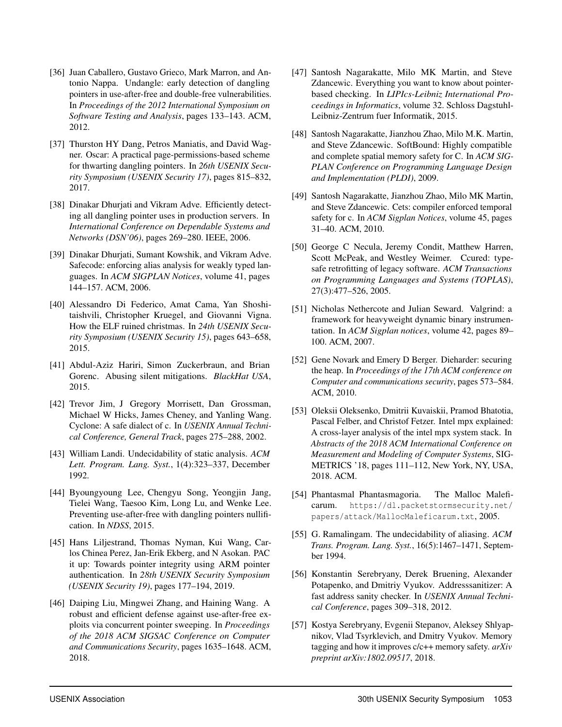- [36] Juan Caballero, Gustavo Grieco, Mark Marron, and Antonio Nappa. Undangle: early detection of dangling pointers in use-after-free and double-free vulnerabilities. In *Proceedings of the 2012 International Symposium on Software Testing and Analysis*, pages 133–143. ACM, 2012.
- [37] Thurston HY Dang, Petros Maniatis, and David Wagner. Oscar: A practical page-permissions-based scheme for thwarting dangling pointers. In *26th USENIX Security Symposium (USENIX Security 17)*, pages 815–832, 2017.
- [38] Dinakar Dhurjati and Vikram Adve. Efficiently detecting all dangling pointer uses in production servers. In *International Conference on Dependable Systems and Networks (DSN'06)*, pages 269–280. IEEE, 2006.
- [39] Dinakar Dhurjati, Sumant Kowshik, and Vikram Adve. Safecode: enforcing alias analysis for weakly typed languages. In *ACM SIGPLAN Notices*, volume 41, pages 144–157. ACM, 2006.
- [40] Alessandro Di Federico, Amat Cama, Yan Shoshitaishvili, Christopher Kruegel, and Giovanni Vigna. How the ELF ruined christmas. In *24th USENIX Security Symposium (USENIX Security 15)*, pages 643–658, 2015.
- [41] Abdul-Aziz Hariri, Simon Zuckerbraun, and Brian Gorenc. Abusing silent mitigations. *BlackHat USA*, 2015.
- [42] Trevor Jim, J Gregory Morrisett, Dan Grossman, Michael W Hicks, James Cheney, and Yanling Wang. Cyclone: A safe dialect of c. In *USENIX Annual Technical Conference, General Track*, pages 275–288, 2002.
- [43] William Landi. Undecidability of static analysis. *ACM Lett. Program. Lang. Syst.*, 1(4):323–337, December 1992.
- [44] Byoungyoung Lee, Chengyu Song, Yeongjin Jang, Tielei Wang, Taesoo Kim, Long Lu, and Wenke Lee. Preventing use-after-free with dangling pointers nullification. In *NDSS*, 2015.
- [45] Hans Liljestrand, Thomas Nyman, Kui Wang, Carlos Chinea Perez, Jan-Erik Ekberg, and N Asokan. PAC it up: Towards pointer integrity using ARM pointer authentication. In *28th USENIX Security Symposium (USENIX Security 19)*, pages 177–194, 2019.
- [46] Daiping Liu, Mingwei Zhang, and Haining Wang. A robust and efficient defense against use-after-free exploits via concurrent pointer sweeping. In *Proceedings of the 2018 ACM SIGSAC Conference on Computer and Communications Security*, pages 1635–1648. ACM, 2018.
- [47] Santosh Nagarakatte, Milo MK Martin, and Steve Zdancewic. Everything you want to know about pointerbased checking. In *LIPIcs-Leibniz International Proceedings in Informatics*, volume 32. Schloss Dagstuhl-Leibniz-Zentrum fuer Informatik, 2015.
- [48] Santosh Nagarakatte, Jianzhou Zhao, Milo M.K. Martin, and Steve Zdancewic. SoftBound: Highly compatible and complete spatial memory safety for C. In *ACM SIG-PLAN Conference on Programming Language Design and Implementation (PLDI)*, 2009.
- [49] Santosh Nagarakatte, Jianzhou Zhao, Milo MK Martin, and Steve Zdancewic. Cets: compiler enforced temporal safety for c. In *ACM Sigplan Notices*, volume 45, pages 31–40. ACM, 2010.
- [50] George C Necula, Jeremy Condit, Matthew Harren, Scott McPeak, and Westley Weimer. Ccured: typesafe retrofitting of legacy software. *ACM Transactions on Programming Languages and Systems (TOPLAS)*, 27(3):477–526, 2005.
- [51] Nicholas Nethercote and Julian Seward. Valgrind: a framework for heavyweight dynamic binary instrumentation. In *ACM Sigplan notices*, volume 42, pages 89– 100. ACM, 2007.
- [52] Gene Novark and Emery D Berger. Dieharder: securing the heap. In *Proceedings of the 17th ACM conference on Computer and communications security*, pages 573–584. ACM, 2010.
- [53] Oleksii Oleksenko, Dmitrii Kuvaiskii, Pramod Bhatotia, Pascal Felber, and Christof Fetzer. Intel mpx explained: A cross-layer analysis of the intel mpx system stack. In *Abstracts of the 2018 ACM International Conference on Measurement and Modeling of Computer Systems*, SIG-METRICS '18, pages 111–112, New York, NY, USA, 2018. ACM.
- [54] Phantasmal Phantasmagoria. The Malloc Maleficarum. https://dl.packetstormsecurity.net/ papers/attack/MallocMaleficarum.txt, 2005.
- [55] G. Ramalingam. The undecidability of aliasing. *ACM Trans. Program. Lang. Syst.*, 16(5):1467–1471, September 1994.
- [56] Konstantin Serebryany, Derek Bruening, Alexander Potapenko, and Dmitriy Vyukov. Addresssanitizer: A fast address sanity checker. In *USENIX Annual Technical Conference*, pages 309–318, 2012.
- [57] Kostya Serebryany, Evgenii Stepanov, Aleksey Shlyapnikov, Vlad Tsyrklevich, and Dmitry Vyukov. Memory tagging and how it improves c/c++ memory safety. *arXiv preprint arXiv:1802.09517*, 2018.